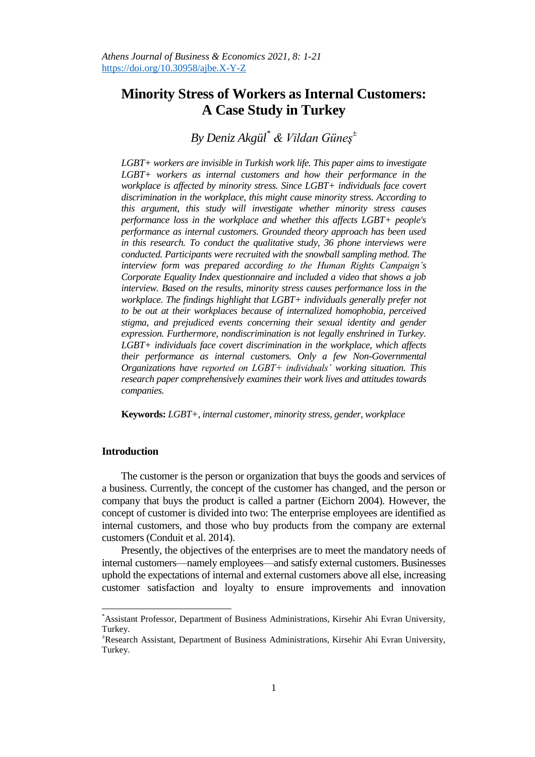# **Minority Stress of Workers as Internal Customers: A Case Study in Turkey**

*By Deniz Akgül\* & Vildan Güneş<sup>±</sup>*

*LGBT+ workers are invisible in Turkish work life. This paper aims to investigate LGBT+ workers as internal customers and how their performance in the workplace is affected by minority stress. Since LGBT+ individuals face covert discrimination in the workplace, this might cause minority stress. According to this argument, this study will investigate whether minority stress causes performance loss in the workplace and whether this affects LGBT+ people's performance as internal customers. Grounded theory approach has been used in this research. To conduct the qualitative study, 36 phone interviews were conducted. Participants were recruited with the snowball sampling method. The interview form was prepared according to the Human Rights Campaign's Corporate Equality Index questionnaire and included a video that shows a job interview. Based on the results, minority stress causes performance loss in the workplace. The findings highlight that LGBT+ individuals generally prefer not to be out at their workplaces because of internalized homophobia, perceived stigma, and prejudiced events concerning their sexual identity and gender expression. Furthermore, nondiscrimination is not legally enshrined in Turkey. LGBT+ individuals face covert discrimination in the workplace, which affects their performance as internal customers. Only a few Non-Governmental Organizations have reported on LGBT+ individuals' working situation. This research paper comprehensively examines their work lives and attitudes towards companies.*

**Keywords:** *LGBT+, internal customer, minority stress, gender, workplace*

# **Introduction**

 $\overline{a}$ 

The customer is the person or organization that buys the goods and services of a business. Currently, the concept of the customer has changed, and the person or company that buys the product is called a partner (Eichorn 2004). However, the concept of customer is divided into two: The enterprise employees are identified as internal customers, and those who buy products from the company are external customers (Conduit et al. 2014).

Presently, the objectives of the enterprises are to meet the mandatory needs of internal customers—namely employees—and satisfy external customers. Businesses uphold the expectations of internal and external customers above all else, increasing customer satisfaction and loyalty to ensure improvements and innovation

<sup>\*</sup>Assistant Professor, Department of Business Administrations, Kirsehir Ahi Evran University, Turkey.

<sup>±</sup>Research Assistant, Department of Business Administrations, Kirsehir Ahi Evran University, Turkey.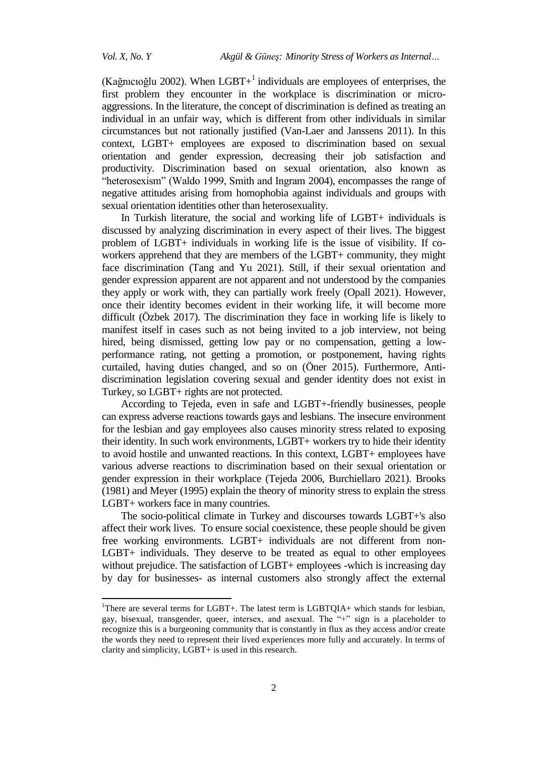$\overline{\phantom{a}}$ 

(Kağnıcıoğlu 2002). When  $LGBT+$ <sup>1</sup> individuals are employees of enterprises, the first problem they encounter in the workplace is discrimination or microaggressions. In the literature, the concept of discrimination is defined as treating an individual in an unfair way, which is different from other individuals in similar circumstances but not rationally justified (Van-Laer and Janssens 2011). In this context, LGBT+ employees are exposed to discrimination based on sexual orientation and gender expression, decreasing their job satisfaction and productivity. Discrimination based on sexual orientation, also known as "heterosexism" (Waldo 1999, Smith and Ingram 2004), encompasses the range of negative attitudes arising from homophobia against individuals and groups with sexual orientation identities other than heterosexuality.

In Turkish literature, the social and working life of LGBT+ individuals is discussed by analyzing discrimination in every aspect of their lives. The biggest problem of LGBT+ individuals in working life is the issue of visibility. If coworkers apprehend that they are members of the LGBT+ community, they might face discrimination (Tang and Yu 2021). Still, if their sexual orientation and gender expression apparent are not apparent and not understood by the companies they apply or work with, they can partially work freely (Opall 2021). However, once their identity becomes evident in their working life, it will become more difficult (Özbek 2017). The discrimination they face in working life is likely to manifest itself in cases such as not being invited to a job interview, not being hired, being dismissed, getting low pay or no compensation, getting a lowperformance rating, not getting a promotion, or postponement, having rights curtailed, having duties changed, and so on (Öner 2015). Furthermore, Antidiscrimination legislation covering sexual and gender identity does not exist in Turkey, so LGBT+ rights are not protected.

According to Tejeda, even in safe and LGBT+-friendly businesses, people can express adverse reactions towards gays and lesbians. The insecure environment for the lesbian and gay employees also causes minority stress related to exposing their identity. In such work environments, LGBT+ workers try to hide their identity to avoid hostile and unwanted reactions. In this context, LGBT+ employees have various adverse reactions to discrimination based on their sexual orientation or gender expression in their workplace (Tejeda 2006, Burchiellaro 2021). Brooks (1981) and Meyer (1995) explain the theory of minority stress to explain the stress LGBT+ workers face in many countries.

The socio-political climate in Turkey and discourses towards LGBT+'s also affect their work lives. To ensure social coexistence, these people should be given free working environments. LGBT+ individuals are not different from non-LGBT+ individuals. They deserve to be treated as equal to other employees without prejudice. The satisfaction of LGBT+ employees -which is increasing day by day for businesses- as internal customers also strongly affect the external

<sup>&</sup>lt;sup>1</sup>There are several terms for LGBT+. The latest term is LGBTOIA+ which stands for lesbian, gay, bisexual, transgender, queer, intersex, and asexual. The "+" sign is a placeholder to recognize this is a burgeoning community that is constantly in flux as they access and/or create the words they need to represent their lived experiences more fully and accurately. In terms of clarity and simplicity, LGBT+ is used in this research.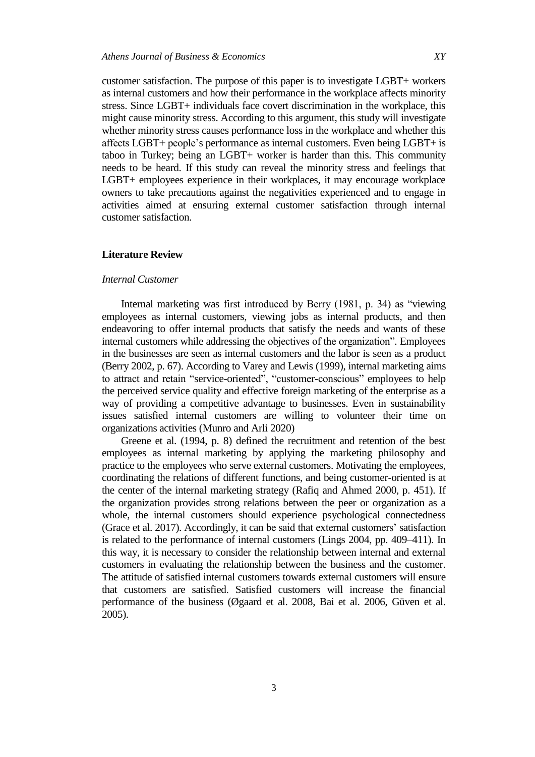customer satisfaction. The purpose of this paper is to investigate LGBT+ workers as internal customers and how their performance in the workplace affects minority stress. Since LGBT+ individuals face covert discrimination in the workplace, this might cause minority stress. According to this argument, this study will investigate whether minority stress causes performance loss in the workplace and whether this affects LGBT+ people's performance as internal customers. Even being LGBT+ is taboo in Turkey; being an LGBT+ worker is harder than this. This community needs to be heard. If this study can reveal the minority stress and feelings that LGBT+ employees experience in their workplaces, it may encourage workplace owners to take precautions against the negativities experienced and to engage in activities aimed at ensuring external customer satisfaction through internal customer satisfaction.

### **Literature Review**

# *Internal Customer*

Internal marketing was first introduced by Berry (1981, p. 34) as "viewing employees as internal customers, viewing jobs as internal products, and then endeavoring to offer internal products that satisfy the needs and wants of these internal customers while addressing the objectives of the organization". Employees in the businesses are seen as internal customers and the labor is seen as a product (Berry 2002, p. 67). According to Varey and Lewis (1999), internal marketing aims to attract and retain "service-oriented", "customer-conscious" employees to help the perceived service quality and effective foreign marketing of the enterprise as a way of providing a competitive advantage to businesses. Even in sustainability issues satisfied internal customers are willing to volunteer their time on organizations activities (Munro and Arli 2020)

Greene et al. (1994, p. 8) defined the recruitment and retention of the best employees as internal marketing by applying the marketing philosophy and practice to the employees who serve external customers. Motivating the employees, coordinating the relations of different functions, and being customer-oriented is at the center of the internal marketing strategy (Rafiq and Ahmed 2000, p. 451). If the organization provides strong relations between the peer or organization as a whole, the internal customers should experience psychological connectedness (Grace et al. 2017). Accordingly, it can be said that external customers' satisfaction is related to the performance of internal customers (Lings 2004, pp. 409–411). In this way, it is necessary to consider the relationship between internal and external customers in evaluating the relationship between the business and the customer. The attitude of satisfied internal customers towards external customers will ensure that customers are satisfied. Satisfied customers will increase the financial performance of the business (Øgaard et al. 2008, Bai et al. 2006, Güven et al. 2005).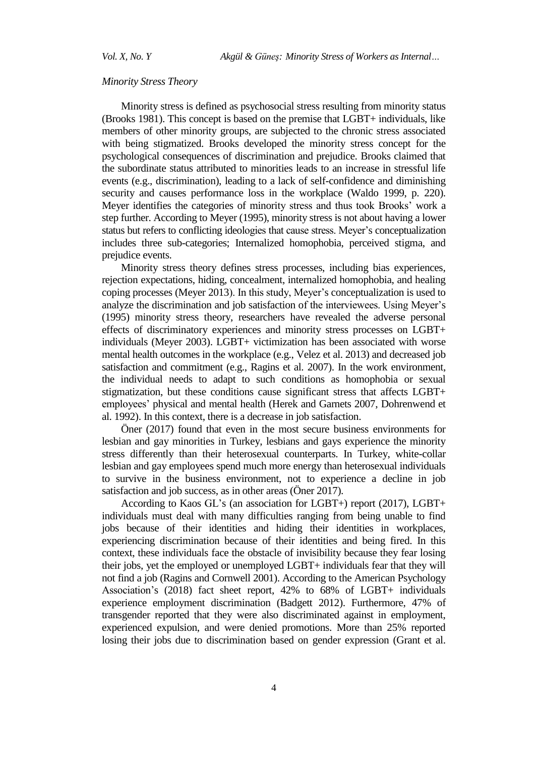### *Minority Stress Theory*

Minority stress is defined as psychosocial stress resulting from minority status (Brooks 1981). This concept is based on the premise that LGBT+ individuals, like members of other minority groups, are subjected to the chronic stress associated with being stigmatized. Brooks developed the minority stress concept for the psychological consequences of discrimination and prejudice. Brooks claimed that the subordinate status attributed to minorities leads to an increase in stressful life events (e.g., discrimination), leading to a lack of self-confidence and diminishing security and causes performance loss in the workplace (Waldo 1999, p. 220). Meyer identifies the categories of minority stress and thus took Brooks' work a step further. According to Meyer (1995), minority stress is not about having a lower status but refers to conflicting ideologies that cause stress. Meyer's conceptualization includes three sub-categories; Internalized homophobia, perceived stigma, and prejudice events.

Minority stress theory defines stress processes, including bias experiences, rejection expectations, hiding, concealment, internalized homophobia, and healing coping processes (Meyer 2013). In this study, Meyer's conceptualization is used to analyze the discrimination and job satisfaction of the interviewees. Using Meyer's (1995) minority stress theory, researchers have revealed the adverse personal effects of discriminatory experiences and minority stress processes on LGBT+ individuals (Meyer 2003). LGBT+ victimization has been associated with worse mental health outcomes in the workplace (e.g., Velez et al. 2013) and decreased job satisfaction and commitment (e.g., Ragins et al. 2007). In the work environment, the individual needs to adapt to such conditions as homophobia or sexual stigmatization, but these conditions cause significant stress that affects LGBT+ employees' physical and mental health (Herek and Garnets 2007, Dohrenwend et al. 1992). In this context, there is a decrease in job satisfaction.

Öner (2017) found that even in the most secure business environments for lesbian and gay minorities in Turkey, lesbians and gays experience the minority stress differently than their heterosexual counterparts. In Turkey, white-collar lesbian and gay employees spend much more energy than heterosexual individuals to survive in the business environment, not to experience a decline in job satisfaction and job success, as in other areas (Öner 2017).

According to Kaos GL's (an association for LGBT+) report (2017), LGBT+ individuals must deal with many difficulties ranging from being unable to find jobs because of their identities and hiding their identities in workplaces, experiencing discrimination because of their identities and being fired. In this context, these individuals face the obstacle of invisibility because they fear losing their jobs, yet the employed or unemployed LGBT+ individuals fear that they will not find a job (Ragins and Cornwell 2001). According to the American Psychology Association's (2018) fact sheet report, 42% to 68% of LGBT+ individuals experience employment discrimination (Badgett 2012). Furthermore, 47% of transgender reported that they were also discriminated against in employment, experienced expulsion, and were denied promotions. More than 25% reported losing their jobs due to discrimination based on gender expression (Grant et al.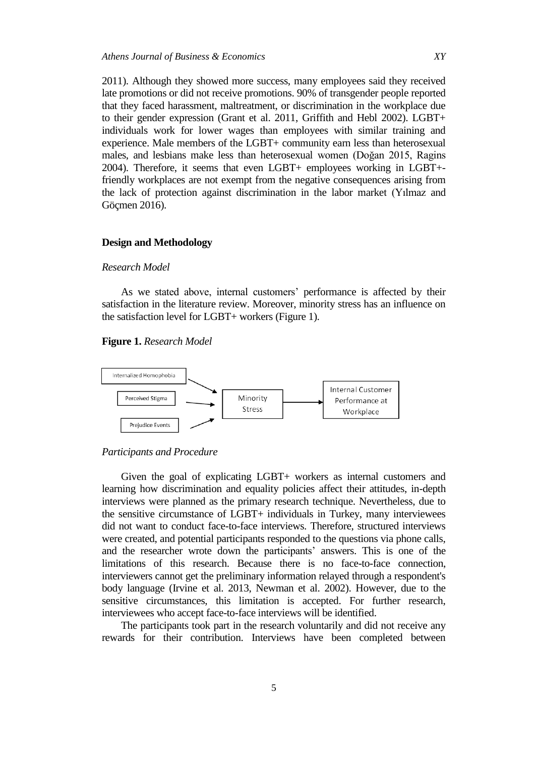2011). Although they showed more success, many employees said they received late promotions or did not receive promotions. 90% of transgender people reported that they faced harassment, maltreatment, or discrimination in the workplace due to their gender expression (Grant et al. 2011, Griffith and Hebl 2002). LGBT+ individuals work for lower wages than employees with similar training and experience. Male members of the LGBT+ community earn less than heterosexual males, and lesbians make less than heterosexual women (Doğan 2015, Ragins 2004). Therefore, it seems that even LGBT+ employees working in LGBT+ friendly workplaces are not exempt from the negative consequences arising from the lack of protection against discrimination in the labor market (Yılmaz and Göçmen 2016).

# **Design and Methodology**

#### *Research Model*

As we stated above, internal customers' performance is affected by their satisfaction in the literature review. Moreover, minority stress has an influence on the satisfaction level for LGBT+ workers (Figure 1).

#### **Figure 1.** *Research Model*



#### *Participants and Procedure*

Given the goal of explicating LGBT+ workers as internal customers and learning how discrimination and equality policies affect their attitudes, in-depth interviews were planned as the primary research technique. Nevertheless, due to the sensitive circumstance of LGBT+ individuals in Turkey, many interviewees did not want to conduct face-to-face interviews. Therefore, structured interviews were created, and potential participants responded to the questions via phone calls, and the researcher wrote down the participants' answers. This is one of the limitations of this research. Because there is no face-to-face connection, interviewers cannot get the preliminary information relayed through a respondent's body language (Irvine et al. 2013, Newman et al. 2002). However, due to the sensitive circumstances, this limitation is accepted. For further research, interviewees who accept face-to-face interviews will be identified.

The participants took part in the research voluntarily and did not receive any rewards for their contribution. Interviews have been completed between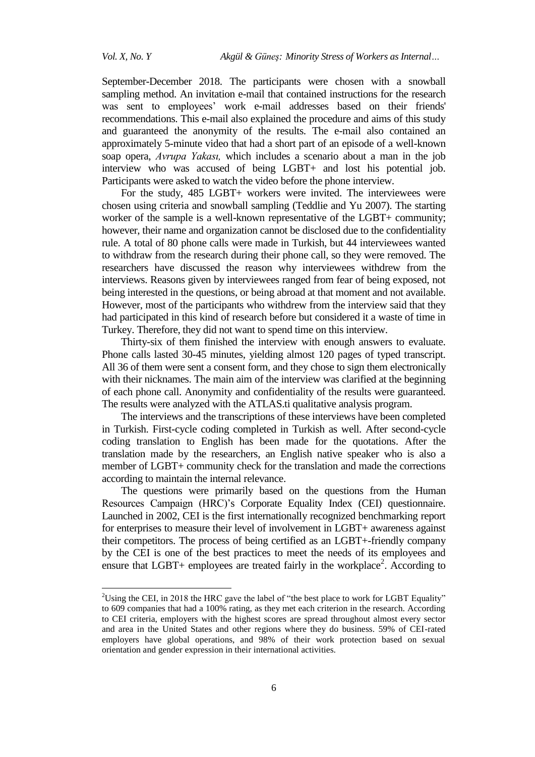$\overline{\phantom{a}}$ 

September-December 2018. The participants were chosen with a snowball sampling method. An invitation e-mail that contained instructions for the research was sent to employees' work e-mail addresses based on their friends' recommendations. This e-mail also explained the procedure and aims of this study and guaranteed the anonymity of the results. The e-mail also contained an approximately 5-minute video that had a short part of an episode of a well-known soap opera, *Avrupa Yakası,* which includes a scenario about a man in the job interview who was accused of being LGBT+ and lost his potential job. Participants were asked to watch the video before the phone interview.

For the study, 485 LGBT+ workers were invited. The interviewees were chosen using criteria and snowball sampling (Teddlie and Yu 2007). The starting worker of the sample is a well-known representative of the LGBT+ community; however, their name and organization cannot be disclosed due to the confidentiality rule. A total of 80 phone calls were made in Turkish, but 44 interviewees wanted to withdraw from the research during their phone call, so they were removed. The researchers have discussed the reason why interviewees withdrew from the interviews. Reasons given by interviewees ranged from fear of being exposed, not being interested in the questions, or being abroad at that moment and not available. However, most of the participants who withdrew from the interview said that they had participated in this kind of research before but considered it a waste of time in Turkey. Therefore, they did not want to spend time on this interview.

Thirty-six of them finished the interview with enough answers to evaluate. Phone calls lasted 30-45 minutes, yielding almost 120 pages of typed transcript. All 36 of them were sent a consent form, and they chose to sign them electronically with their nicknames. The main aim of the interview was clarified at the beginning of each phone call. Anonymity and confidentiality of the results were guaranteed. The results were analyzed with the ATLAS.ti qualitative analysis program.

The interviews and the transcriptions of these interviews have been completed in Turkish. First-cycle coding completed in Turkish as well. After second-cycle coding translation to English has been made for the quotations. After the translation made by the researchers, an English native speaker who is also a member of LGBT+ community check for the translation and made the corrections according to maintain the internal relevance.

The questions were primarily based on the questions from the Human Resources Campaign (HRC)'s Corporate Equality Index (CEI) questionnaire. Launched in 2002, CEI is the first internationally recognized benchmarking report for enterprises to measure their level of involvement in LGBT+ awareness against their competitors. The process of being certified as an LGBT+-friendly company by the CEI is one of the best practices to meet the needs of its employees and ensure that LGBT+ employees are treated fairly in the workplace<sup>2</sup>. According to

<sup>&</sup>lt;sup>2</sup>Using the CEI, in 2018 the HRC gave the label of "the best place to work for LGBT Equality" to 609 companies that had a 100% rating, as they met each criterion in the research. According to CEI criteria, employers with the highest scores are spread throughout almost every sector and area in the United States and other regions where they do business. 59% of CEI-rated employers have global operations, and 98% of their work protection based on sexual orientation and gender expression in their international activities.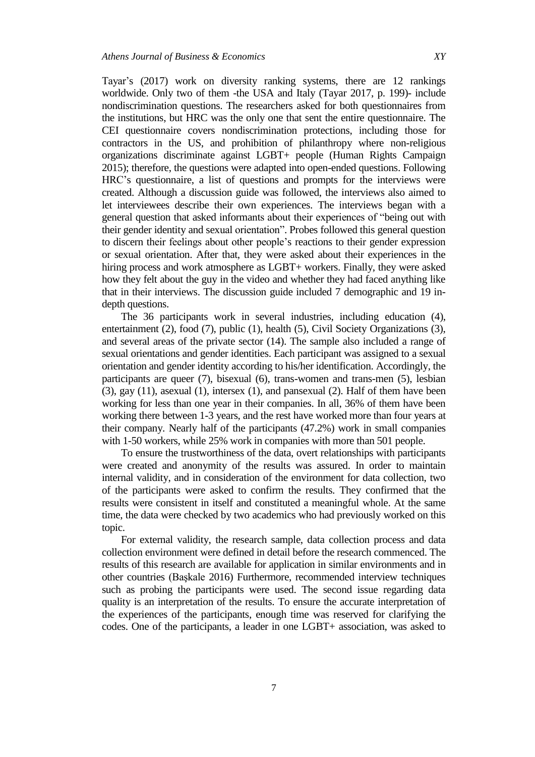Tayar's (2017) work on diversity ranking systems, there are 12 rankings worldwide. Only two of them -the USA and Italy (Tayar 2017, p. 199)- include nondiscrimination questions. The researchers asked for both questionnaires from the institutions, but HRC was the only one that sent the entire questionnaire. The CEI questionnaire covers nondiscrimination protections, including those for contractors in the US, and prohibition of philanthropy where non-religious organizations discriminate against LGBT+ people (Human Rights Campaign 2015); therefore, the questions were adapted into open-ended questions. Following HRC's questionnaire, a list of questions and prompts for the interviews were created. Although a discussion guide was followed, the interviews also aimed to let interviewees describe their own experiences. The interviews began with a general question that asked informants about their experiences of "being out with their gender identity and sexual orientation". Probes followed this general question to discern their feelings about other people's reactions to their gender expression or sexual orientation. After that, they were asked about their experiences in the hiring process and work atmosphere as LGBT+ workers. Finally, they were asked how they felt about the guy in the video and whether they had faced anything like that in their interviews. The discussion guide included 7 demographic and 19 indepth questions.

The 36 participants work in several industries, including education (4), entertainment (2), food (7), public (1), health (5), Civil Society Organizations (3), and several areas of the private sector (14). The sample also included a range of sexual orientations and gender identities. Each participant was assigned to a sexual orientation and gender identity according to his/her identification. Accordingly, the participants are queer (7), bisexual (6), trans-women and trans-men (5), lesbian (3), gay (11), asexual (1), intersex (1), and pansexual (2). Half of them have been working for less than one year in their companies. In all, 36% of them have been working there between 1-3 years, and the rest have worked more than four years at their company. Nearly half of the participants (47.2%) work in small companies with 1-50 workers, while 25% work in companies with more than 501 people.

To ensure the trustworthiness of the data, overt relationships with participants were created and anonymity of the results was assured. In order to maintain internal validity, and in consideration of the environment for data collection, two of the participants were asked to confirm the results. They confirmed that the results were consistent in itself and constituted a meaningful whole. At the same time, the data were checked by two academics who had previously worked on this topic.

For external validity, the research sample, data collection process and data collection environment were defined in detail before the research commenced. The results of this research are available for application in similar environments and in other countries (Başkale 2016) Furthermore, recommended interview techniques such as probing the participants were used. The second issue regarding data quality is an interpretation of the results. To ensure the accurate interpretation of the experiences of the participants, enough time was reserved for clarifying the codes. One of the participants, a leader in one LGBT+ association, was asked to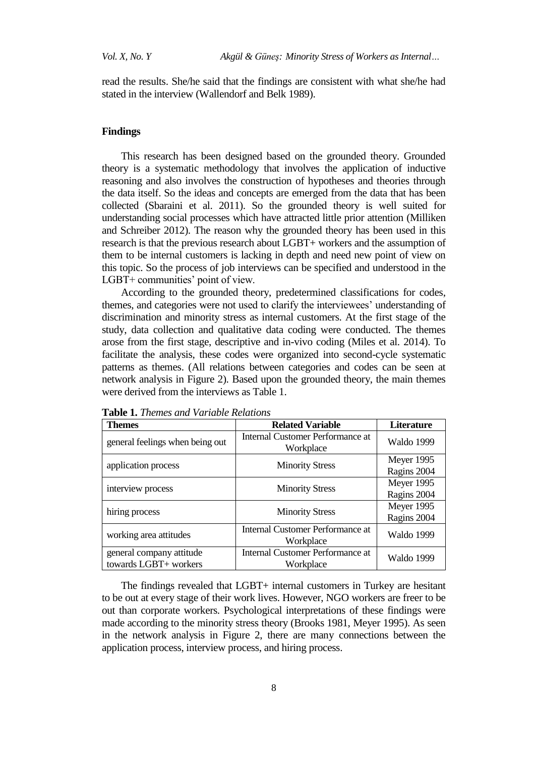read the results. She/he said that the findings are consistent with what she/he had stated in the interview (Wallendorf and Belk 1989).

#### **Findings**

This research has been designed based on the grounded theory. Grounded theory is a systematic methodology that involves the application of inductive reasoning and also involves the construction of hypotheses and theories through the data itself. So the ideas and concepts are emerged from the data that has been collected (Sbaraini et al. 2011). So the grounded theory is well suited for understanding social processes which have attracted little prior attention (Milliken and Schreiber 2012). The reason why the grounded theory has been used in this research is that the previous research about LGBT+ workers and the assumption of them to be internal customers is lacking in depth and need new point of view on this topic. So the process of job interviews can be specified and understood in the LGBT+ communities' point of view.

According to the grounded theory, predetermined classifications for codes, themes, and categories were not used to clarify the interviewees' understanding of discrimination and minority stress as internal customers. At the first stage of the study, data collection and qualitative data coding were conducted. The themes arose from the first stage, descriptive and in-vivo coding (Miles et al. 2014). To facilitate the analysis, these codes were organized into second-cycle systematic patterns as themes. (All relations between categories and codes can be seen at network analysis in Figure 2). Based upon the grounded theory, the main themes were derived from the interviews as Table 1.

| <b>Themes</b>                                     | <b>Related Variable</b>                              | Literature                |
|---------------------------------------------------|------------------------------------------------------|---------------------------|
| general feelings when being out                   | Internal Customer Performance at<br>Workplace        | <b>Waldo 1999</b>         |
| application process                               | <b>Minority Stress</b>                               | Meyer 1995<br>Ragins 2004 |
| interview process                                 | <b>Minority Stress</b>                               | Meyer 1995<br>Ragins 2004 |
| hiring process                                    | <b>Minority Stress</b>                               | Meyer 1995<br>Ragins 2004 |
| working area attitudes                            | Internal Customer Performance at<br>Workplace        | <b>Waldo 1999</b>         |
| general company attitude<br>towards LGBT+ workers | <b>Internal Customer Performance at</b><br>Workplace | <b>Waldo 1999</b>         |

**Table 1.** *Themes and Variable Relations*

The findings revealed that LGBT+ internal customers in Turkey are hesitant to be out at every stage of their work lives. However, NGO workers are freer to be out than corporate workers. Psychological interpretations of these findings were made according to the minority stress theory (Brooks 1981, Meyer 1995). As seen in the network analysis in Figure 2, there are many connections between the application process, interview process, and hiring process.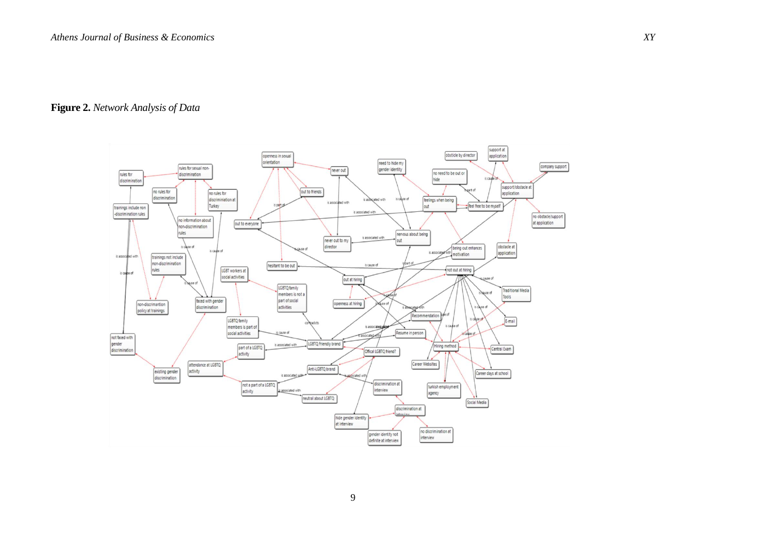# **Figure 2.** *Network Analysis of Data*

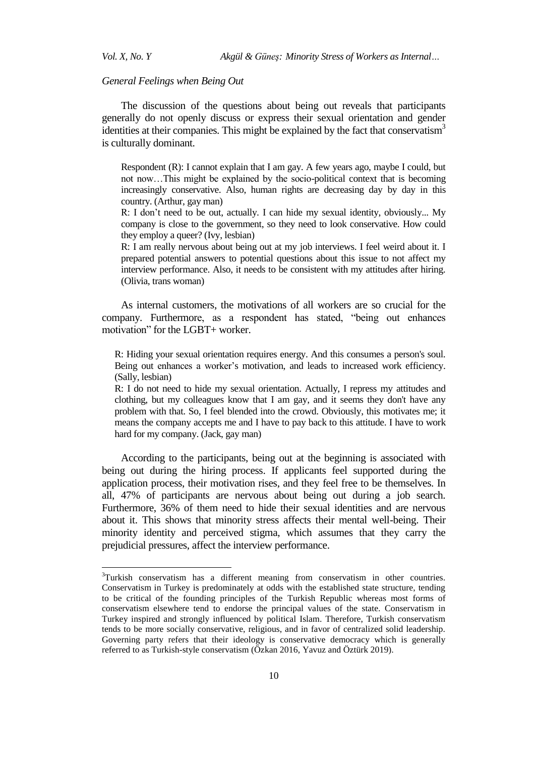$\overline{a}$ 

# *General Feelings when Being Out*

The discussion of the questions about being out reveals that participants generally do not openly discuss or express their sexual orientation and gender identities at their companies. This might be explained by the fact that conservatism<sup>3</sup> is culturally dominant.

Respondent (R): I cannot explain that I am gay. A few years ago, maybe I could, but not now…This might be explained by the socio-political context that is becoming increasingly conservative. Also, human rights are decreasing day by day in this country. (Arthur, gay man)

R: I don't need to be out, actually. I can hide my sexual identity, obviously... My company is close to the government, so they need to look conservative. How could they employ a queer? (Ivy, lesbian)

R: I am really nervous about being out at my job interviews. I feel weird about it. I prepared potential answers to potential questions about this issue to not affect my interview performance. Also, it needs to be consistent with my attitudes after hiring. (Olivia, trans woman)

As internal customers, the motivations of all workers are so crucial for the company. Furthermore, as a respondent has stated, "being out enhances" motivation" for the LGBT+ worker.

R: Hiding your sexual orientation requires energy. And this consumes a person's soul. Being out enhances a worker's motivation, and leads to increased work efficiency. (Sally, lesbian)

R: I do not need to hide my sexual orientation. Actually, I repress my attitudes and clothing, but my colleagues know that I am gay, and it seems they don't have any problem with that. So, I feel blended into the crowd. Obviously, this motivates me; it means the company accepts me and I have to pay back to this attitude. I have to work hard for my company. (Jack, gay man)

According to the participants, being out at the beginning is associated with being out during the hiring process. If applicants feel supported during the application process, their motivation rises, and they feel free to be themselves. In all, 47% of participants are nervous about being out during a job search. Furthermore, 36% of them need to hide their sexual identities and are nervous about it. This shows that minority stress affects their mental well-being. Their minority identity and perceived stigma, which assumes that they carry the prejudicial pressures, affect the interview performance.

<sup>&</sup>lt;sup>3</sup>Turkish conservatism has a different meaning from conservatism in other countries. Conservatism in Turkey is predominately at odds with the established state structure, tending to be critical of the founding principles of the Turkish Republic whereas most forms of conservatism elsewhere tend to endorse the principal values of the state. Conservatism in Turkey inspired and strongly influenced by political Islam. Therefore, Turkish conservatism tends to be more socially conservative, religious, and in favor of centralized solid leadership. Governing party refers that their ideology is conservative democracy which is generally referred to as Turkish-style conservatism (Özkan 2016, Yavuz and Öztürk 2019).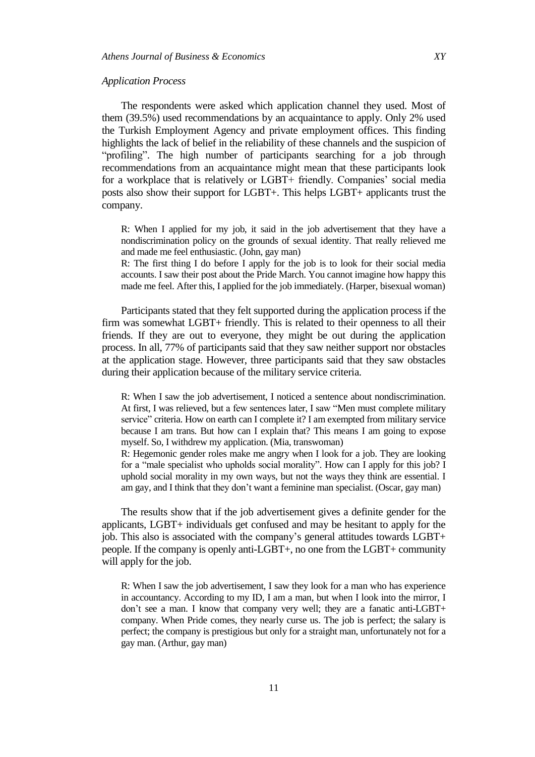#### *Application Process*

The respondents were asked which application channel they used. Most of them (39.5%) used recommendations by an acquaintance to apply. Only 2% used the Turkish Employment Agency and private employment offices. This finding highlights the lack of belief in the reliability of these channels and the suspicion of "profiling". The high number of participants searching for a job through recommendations from an acquaintance might mean that these participants look for a workplace that is relatively or LGBT+ friendly. Companies' social media posts also show their support for LGBT+. This helps LGBT+ applicants trust the company.

R: When I applied for my job, it said in the job advertisement that they have a nondiscrimination policy on the grounds of sexual identity. That really relieved me and made me feel enthusiastic. (John, gay man)

R: The first thing I do before I apply for the job is to look for their social media accounts. I saw their post about the Pride March. You cannot imagine how happy this made me feel. After this, I applied for the job immediately. (Harper, bisexual woman)

Participants stated that they felt supported during the application process if the firm was somewhat LGBT+ friendly. This is related to their openness to all their friends. If they are out to everyone, they might be out during the application process. In all, 77% of participants said that they saw neither support nor obstacles at the application stage. However, three participants said that they saw obstacles during their application because of the military service criteria.

R: When I saw the job advertisement, I noticed a sentence about nondiscrimination. At first, I was relieved, but a few sentences later, I saw "Men must complete military service" criteria. How on earth can I complete it? I am exempted from military service because I am trans. But how can I explain that? This means I am going to expose myself. So, I withdrew my application. (Mia, transwoman)

R: Hegemonic gender roles make me angry when I look for a job. They are looking for a "male specialist who upholds social morality". How can I apply for this job? I uphold social morality in my own ways, but not the ways they think are essential. I am gay, and I think that they don't want a feminine man specialist. (Oscar, gay man)

The results show that if the job advertisement gives a definite gender for the applicants, LGBT+ individuals get confused and may be hesitant to apply for the job. This also is associated with the company's general attitudes towards LGBT+ people. If the company is openly anti-LGBT+, no one from the LGBT+ community will apply for the job.

R: When I saw the job advertisement, I saw they look for a man who has experience in accountancy. According to my ID, I am a man, but when I look into the mirror, I don't see a man. I know that company very well; they are a fanatic anti-LGBT+ company. When Pride comes, they nearly curse us. The job is perfect; the salary is perfect; the company is prestigious but only for a straight man, unfortunately not for a gay man. (Arthur, gay man)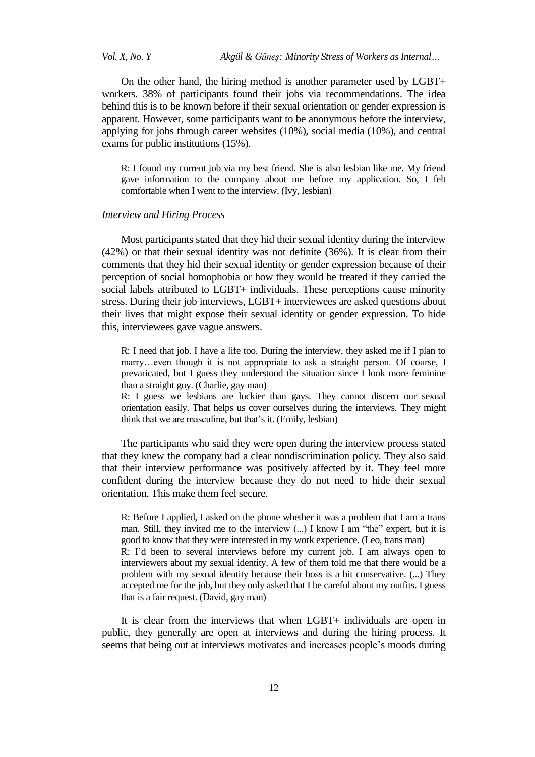*Vol. X, No. Y Akgül & Güneş: Minority Stress of Workers as Internal…*

On the other hand, the hiring method is another parameter used by LGBT+ workers. 38% of participants found their jobs via recommendations. The idea behind this is to be known before if their sexual orientation or gender expression is apparent. However, some participants want to be anonymous before the interview, applying for jobs through career websites (10%), social media (10%), and central exams for public institutions (15%).

R: I found my current job via my best friend. She is also lesbian like me. My friend gave information to the company about me before my application. So, I felt comfortable when I went to the interview. (Ivy, lesbian)

# *Interview and Hiring Process*

Most participants stated that they hid their sexual identity during the interview (42%) or that their sexual identity was not definite (36%). It is clear from their comments that they hid their sexual identity or gender expression because of their perception of social homophobia or how they would be treated if they carried the social labels attributed to LGBT+ individuals. These perceptions cause minority stress. During their job interviews, LGBT+ interviewees are asked questions about their lives that might expose their sexual identity or gender expression. To hide this, interviewees gave vague answers.

R: I need that job. I have a life too. During the interview, they asked me if I plan to marry…even though it is not appropriate to ask a straight person. Of course, I prevaricated, but I guess they understood the situation since I look more feminine than a straight guy. (Charlie, gay man)

R: I guess we lesbians are luckier than gays. They cannot discern our sexual orientation easily. That helps us cover ourselves during the interviews. They might think that we are masculine, but that's it. (Emily, lesbian)

The participants who said they were open during the interview process stated that they knew the company had a clear nondiscrimination policy. They also said that their interview performance was positively affected by it. They feel more confident during the interview because they do not need to hide their sexual orientation. This make them feel secure.

R: Before I applied, I asked on the phone whether it was a problem that I am a trans man. Still, they invited me to the interview  $(...)$  I know I am "the" expert, but it is good to know that they were interested in my work experience. (Leo, trans man) R: I'd been to several interviews before my current job. I am always open to interviewers about my sexual identity. A few of them told me that there would be a problem with my sexual identity because their boss is a bit conservative. (...) They accepted me for the job, but they only asked that I be careful about my outfits. I guess that is a fair request. (David, gay man)

It is clear from the interviews that when LGBT+ individuals are open in public, they generally are open at interviews and during the hiring process. It seems that being out at interviews motivates and increases people's moods during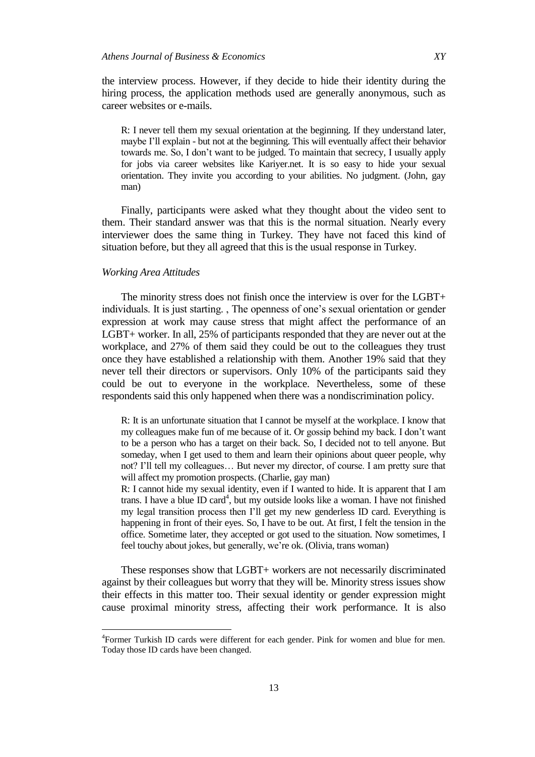the interview process. However, if they decide to hide their identity during the hiring process, the application methods used are generally anonymous, such as career websites or e-mails.

R: I never tell them my sexual orientation at the beginning. If they understand later, maybe I'll explain - but not at the beginning. This will eventually affect their behavior towards me. So, I don't want to be judged. To maintain that secrecy, I usually apply for jobs via career websites like Kariyer.net. It is so easy to hide your sexual orientation. They invite you according to your abilities. No judgment. (John, gay man)

Finally, participants were asked what they thought about the video sent to them. Their standard answer was that this is the normal situation. Nearly every interviewer does the same thing in Turkey. They have not faced this kind of situation before, but they all agreed that this is the usual response in Turkey.

#### *Working Area Attitudes*

l

The minority stress does not finish once the interview is over for the LGBT+ individuals. It is just starting. , The openness of one's sexual orientation or gender expression at work may cause stress that might affect the performance of an LGBT+ worker. In all, 25% of participants responded that they are never out at the workplace, and 27% of them said they could be out to the colleagues they trust once they have established a relationship with them. Another 19% said that they never tell their directors or supervisors. Only 10% of the participants said they could be out to everyone in the workplace. Nevertheless, some of these respondents said this only happened when there was a nondiscrimination policy.

R: It is an unfortunate situation that I cannot be myself at the workplace. I know that my colleagues make fun of me because of it. Or gossip behind my back. I don't want to be a person who has a target on their back. So, I decided not to tell anyone. But someday, when I get used to them and learn their opinions about queer people, why not? I'll tell my colleagues… But never my director, of course. I am pretty sure that will affect my promotion prospects. (Charlie, gay man)

R: I cannot hide my sexual identity, even if I wanted to hide. It is apparent that I am trans. I have a blue ID card<sup>4</sup>, but my outside looks like a woman. I have not finished my legal transition process then I'll get my new genderless ID card. Everything is happening in front of their eyes. So, I have to be out. At first, I felt the tension in the office. Sometime later, they accepted or got used to the situation. Now sometimes, I feel touchy about jokes, but generally, we're ok. (Olivia, trans woman)

These responses show that LGBT+ workers are not necessarily discriminated against by their colleagues but worry that they will be. Minority stress issues show their effects in this matter too. Their sexual identity or gender expression might cause proximal minority stress, affecting their work performance. It is also

<sup>4</sup> Former Turkish ID cards were different for each gender. Pink for women and blue for men. Today those ID cards have been changed.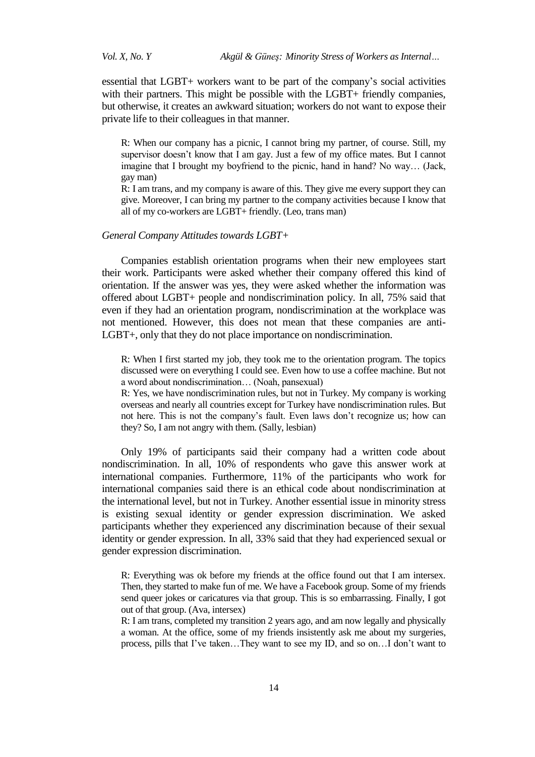essential that LGBT+ workers want to be part of the company's social activities with their partners. This might be possible with the LGBT+ friendly companies, but otherwise, it creates an awkward situation; workers do not want to expose their private life to their colleagues in that manner.

R: When our company has a picnic, I cannot bring my partner, of course. Still, my supervisor doesn't know that I am gay. Just a few of my office mates. But I cannot imagine that I brought my boyfriend to the picnic, hand in hand? No way… (Jack, gay man)

R: I am trans, and my company is aware of this. They give me every support they can give. Moreover, I can bring my partner to the company activities because I know that all of my co-workers are LGBT+ friendly. (Leo, trans man)

# *General Company Attitudes towards LGBT+*

Companies establish orientation programs when their new employees start their work. Participants were asked whether their company offered this kind of orientation. If the answer was yes, they were asked whether the information was offered about LGBT+ people and nondiscrimination policy. In all, 75% said that even if they had an orientation program, nondiscrimination at the workplace was not mentioned. However, this does not mean that these companies are anti-LGBT+, only that they do not place importance on nondiscrimination.

R: When I first started my job, they took me to the orientation program. The topics discussed were on everything I could see. Even how to use a coffee machine. But not a word about nondiscrimination… (Noah, pansexual)

R: Yes, we have nondiscrimination rules, but not in Turkey. My company is working overseas and nearly all countries except for Turkey have nondiscrimination rules. But not here. This is not the company's fault. Even laws don't recognize us; how can they? So, I am not angry with them. (Sally, lesbian)

Only 19% of participants said their company had a written code about nondiscrimination. In all, 10% of respondents who gave this answer work at international companies. Furthermore, 11% of the participants who work for international companies said there is an ethical code about nondiscrimination at the international level, but not in Turkey. Another essential issue in minority stress is existing sexual identity or gender expression discrimination. We asked participants whether they experienced any discrimination because of their sexual identity or gender expression. In all, 33% said that they had experienced sexual or gender expression discrimination.

R: Everything was ok before my friends at the office found out that I am intersex. Then, they started to make fun of me. We have a Facebook group. Some of my friends send queer jokes or caricatures via that group. This is so embarrassing. Finally, I got out of that group. (Ava, intersex)

R: I am trans, completed my transition 2 years ago, and am now legally and physically a woman. At the office, some of my friends insistently ask me about my surgeries, process, pills that I've taken…They want to see my ID, and so on…I don't want to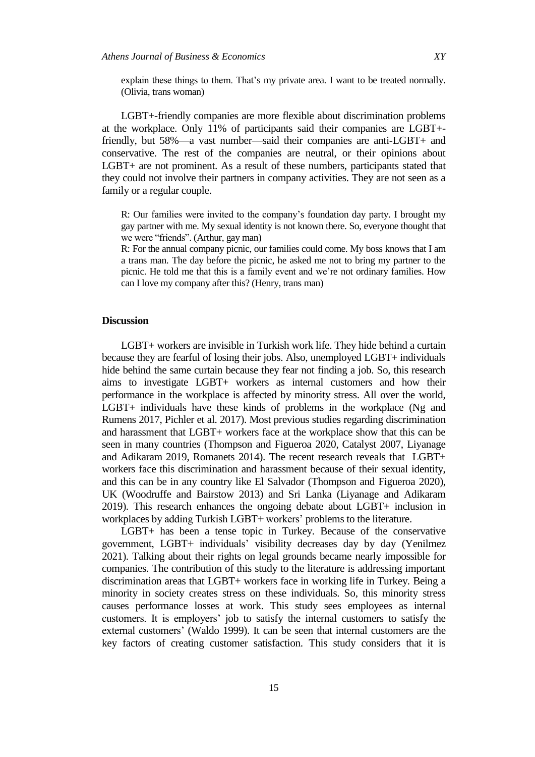explain these things to them. That's my private area. I want to be treated normally. (Olivia, trans woman)

LGBT+-friendly companies are more flexible about discrimination problems at the workplace. Only 11% of participants said their companies are LGBT+ friendly, but 58%—a vast number—said their companies are anti-LGBT+ and conservative. The rest of the companies are neutral, or their opinions about LGBT+ are not prominent. As a result of these numbers, participants stated that they could not involve their partners in company activities. They are not seen as a family or a regular couple.

R: Our families were invited to the company's foundation day party. I brought my gay partner with me. My sexual identity is not known there. So, everyone thought that we were "friends". (Arthur, gay man)

R: For the annual company picnic, our families could come. My boss knows that I am a trans man. The day before the picnic, he asked me not to bring my partner to the picnic. He told me that this is a family event and we're not ordinary families. How can I love my company after this? (Henry, trans man)

#### **Discussion**

LGBT+ workers are invisible in Turkish work life. They hide behind a curtain because they are fearful of losing their jobs. Also, unemployed LGBT+ individuals hide behind the same curtain because they fear not finding a job. So, this research aims to investigate LGBT+ workers as internal customers and how their performance in the workplace is affected by minority stress. All over the world, LGBT+ individuals have these kinds of problems in the workplace (Ng and Rumens 2017, Pichler et al. 2017). Most previous studies regarding discrimination and harassment that LGBT+ workers face at the workplace show that this can be seen in many countries (Thompson and Figueroa 2020, Catalyst 2007, Liyanage and Adikaram 2019, Romanets 2014). The recent research reveals that LGBT+ workers face this discrimination and harassment because of their sexual identity, and this can be in any country like El Salvador (Thompson and Figueroa 2020), UK (Woodruffe and Bairstow 2013) and Sri Lanka (Liyanage and Adikaram 2019). This research enhances the ongoing debate about LGBT+ inclusion in workplaces by adding Turkish LGBT+ workers' problems to the literature.

LGBT+ has been a tense topic in Turkey. Because of the conservative government, LGBT+ individuals' visibility decreases day by day (Yenilmez 2021). Talking about their rights on legal grounds became nearly impossible for companies. The contribution of this study to the literature is addressing important discrimination areas that LGBT+ workers face in working life in Turkey. Being a minority in society creates stress on these individuals. So, this minority stress causes performance losses at work. This study sees employees as internal customers. It is employers' job to satisfy the internal customers to satisfy the external customers' (Waldo 1999). It can be seen that internal customers are the key factors of creating customer satisfaction. This study considers that it is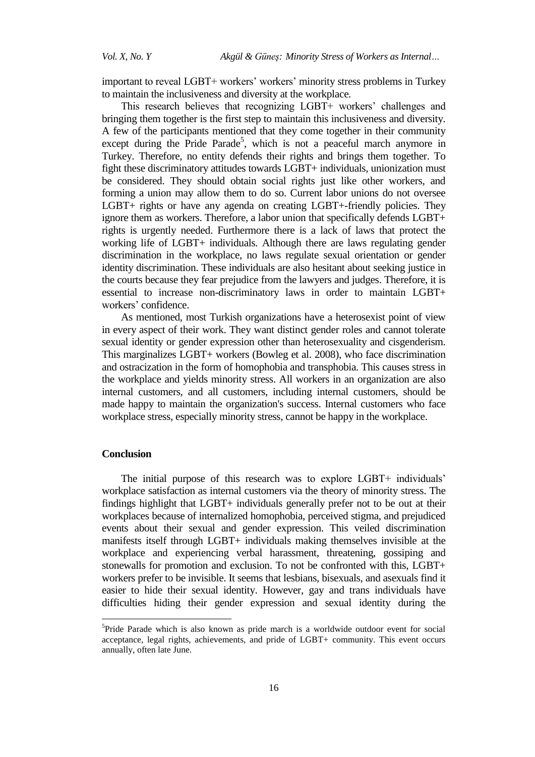important to reveal LGBT+ workers' workers' minority stress problems in Turkey to maintain the inclusiveness and diversity at the workplace.

This research believes that recognizing LGBT+ workers' challenges and bringing them together is the first step to maintain this inclusiveness and diversity. A few of the participants mentioned that they come together in their community except during the Pride Parade<sup>5</sup>, which is not a peaceful march anymore in Turkey. Therefore, no entity defends their rights and brings them together. To fight these discriminatory attitudes towards LGBT+ individuals, unionization must be considered. They should obtain social rights just like other workers, and forming a union may allow them to do so. Current labor unions do not oversee LGBT+ rights or have any agenda on creating LGBT+-friendly policies. They ignore them as workers. Therefore, a labor union that specifically defends LGBT+ rights is urgently needed. Furthermore there is a lack of laws that protect the working life of LGBT+ individuals. Although there are laws regulating gender discrimination in the workplace, no laws regulate sexual orientation or gender identity discrimination. These individuals are also hesitant about seeking justice in the courts because they fear prejudice from the lawyers and judges. Therefore, it is essential to increase non-discriminatory laws in order to maintain LGBT+ workers' confidence.

As mentioned, most Turkish organizations have a heterosexist point of view in every aspect of their work. They want distinct gender roles and cannot tolerate sexual identity or gender expression other than heterosexuality and cisgenderism. This marginalizes LGBT+ workers (Bowleg et al. 2008), who face discrimination and ostracization in the form of homophobia and transphobia. This causes stress in the workplace and yields minority stress. All workers in an organization are also internal customers, and all customers, including internal customers, should be made happy to maintain the organization's success. Internal customers who face workplace stress, especially minority stress, cannot be happy in the workplace.

#### **Conclusion**

 $\overline{\phantom{a}}$ 

The initial purpose of this research was to explore LGBT+ individuals' workplace satisfaction as internal customers via the theory of minority stress. The findings highlight that LGBT+ individuals generally prefer not to be out at their workplaces because of internalized homophobia, perceived stigma, and prejudiced events about their sexual and gender expression. This veiled discrimination manifests itself through LGBT+ individuals making themselves invisible at the workplace and experiencing verbal harassment, threatening, gossiping and stonewalls for promotion and exclusion. To not be confronted with this, LGBT+ workers prefer to be invisible. It seems that lesbians, bisexuals, and asexuals find it easier to hide their sexual identity. However, gay and trans individuals have difficulties hiding their gender expression and sexual identity during the

<sup>&</sup>lt;sup>5</sup>Pride Parade which is also known as pride march is a worldwide outdoor event for social acceptance, legal rights, achievements, and pride of LGBT+ community. This event occurs annually, often late June.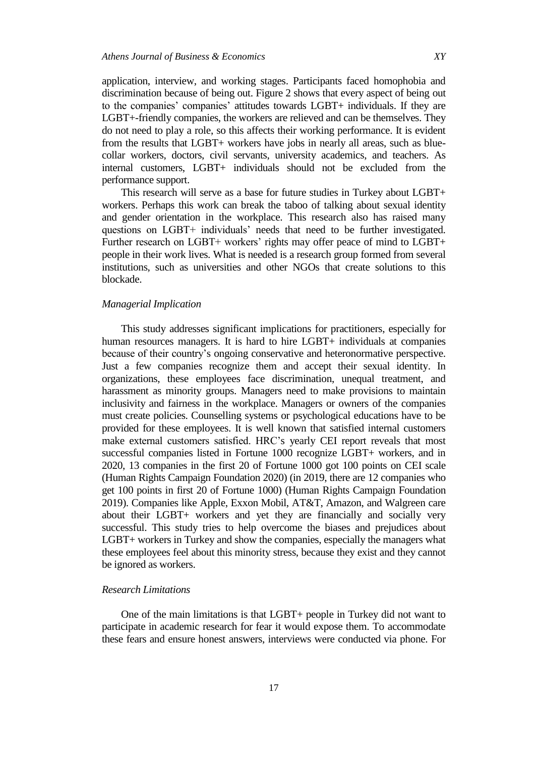application, interview, and working stages. Participants faced homophobia and discrimination because of being out. Figure 2 shows that every aspect of being out to the companies' companies' attitudes towards LGBT+ individuals. If they are LGBT+-friendly companies, the workers are relieved and can be themselves. They do not need to play a role, so this affects their working performance. It is evident from the results that LGBT+ workers have jobs in nearly all areas, such as bluecollar workers, doctors, civil servants, university academics, and teachers. As internal customers, LGBT+ individuals should not be excluded from the performance support.

This research will serve as a base for future studies in Turkey about LGBT+ workers. Perhaps this work can break the taboo of talking about sexual identity and gender orientation in the workplace. This research also has raised many questions on LGBT+ individuals' needs that need to be further investigated. Further research on LGBT+ workers' rights may offer peace of mind to LGBT+ people in their work lives. What is needed is a research group formed from several institutions, such as universities and other NGOs that create solutions to this blockade.

# *Managerial Implication*

This study addresses significant implications for practitioners, especially for human resources managers. It is hard to hire LGBT+ individuals at companies because of their country's ongoing conservative and heteronormative perspective. Just a few companies recognize them and accept their sexual identity. In organizations, these employees face discrimination, unequal treatment, and harassment as minority groups. Managers need to make provisions to maintain inclusivity and fairness in the workplace. Managers or owners of the companies must create policies. Counselling systems or psychological educations have to be provided for these employees. It is well known that satisfied internal customers make external customers satisfied. HRC's yearly CEI report reveals that most successful companies listed in Fortune 1000 recognize LGBT+ workers, and in 2020, 13 companies in the first 20 of Fortune 1000 got 100 points on CEI scale (Human Rights Campaign Foundation 2020) (in 2019, there are 12 companies who get 100 points in first 20 of Fortune 1000) (Human Rights Campaign Foundation 2019). Companies like Apple, Exxon Mobil, AT&T, Amazon, and Walgreen care about their LGBT+ workers and yet they are financially and socially very successful. This study tries to help overcome the biases and prejudices about LGBT+ workers in Turkey and show the companies, especially the managers what these employees feel about this minority stress, because they exist and they cannot be ignored as workers.

# *Research Limitations*

One of the main limitations is that LGBT+ people in Turkey did not want to participate in academic research for fear it would expose them. To accommodate these fears and ensure honest answers, interviews were conducted via phone. For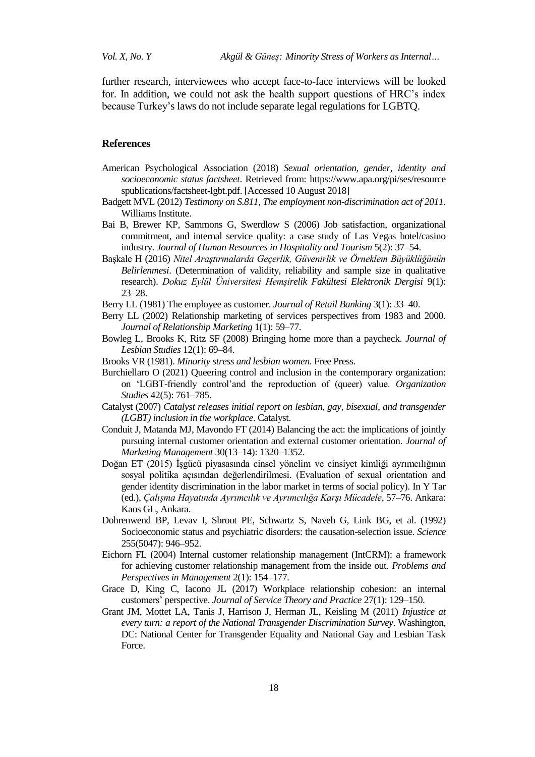further research, interviewees who accept face-to-face interviews will be looked for. In addition, we could not ask the health support questions of HRC's index because Turkey's laws do not include separate legal regulations for LGBTQ.

# **References**

- American Psychological Association (2018) *Sexual orientation, gender, identity and socioeconomic status factsheet*. Retrieved from: https://www.apa.org/pi/ses/resource spublications/factsheet-lgbt.pdf. [Accessed 10 August 2018]
- Badgett MVL (2012) *Testimony on S.811, The employment non-discrimination act of 2011*. Williams Institute.
- Bai B, Brewer KP, Sammons G, Swerdlow S (2006) Job satisfaction, organizational commitment, and internal service quality: a case study of Las Vegas hotel/casino industry. *Journal of Human Resources in Hospitality and Tourism* 5(2): 37–54.
- Başkale H (2016) *Nitel Araştırmalarda Geçerlik, Güvenirlik ve Örneklem Büyüklüğünün Belirlenmesi*. (Determination of validity, reliability and sample size in qualitative research). *Dokuz Eylül Üniversitesi Hemşirelik Fakültesi Elektronik Dergisi* 9(1): 23–28.
- Berry LL (1981) The employee as customer. *Journal of Retail Banking* 3(1): 33–40.
- Berry LL (2002) Relationship marketing of services perspectives from 1983 and 2000*. Journal of Relationship Marketing* 1(1): 59–77.
- Bowleg L, Brooks K, Ritz SF (2008) Bringing home more than a paycheck. *Journal of Lesbian Studies* 12(1): 69–84.
- Brooks VR (1981). *Minority stress and lesbian women*. Free Press.
- Burchiellaro O (2021) Queering control and inclusion in the contemporary organization: on ‗LGBT-friendly control'and the reproduction of (queer) value. *Organization Studies* 42(5): 761–785.
- Catalyst (2007) *Catalyst releases initial report on lesbian, gay, bisexual, and transgender (LGBT) inclusion in the workplace*. Catalyst.
- Conduit J, Matanda MJ, Mavondo FT (2014) Balancing the act: the implications of jointly pursuing internal customer orientation and external customer orientation. *Journal of Marketing Management* 30(13–14): 1320–1352.
- Doğan ET (2015) İşgücü piyasasında cinsel yönelim ve cinsiyet kimliği ayrımcılığının sosyal politika açısından değerlendirilmesi. (Evaluation of sexual orientation and gender identity discrimination in the labor market in terms of social policy). In Y Tar (ed.), *Çalışma Hayatında Ayrımcılık ve Ayrımcılığa Karşı Mücadele,* 57–76. Ankara: Kaos GL, Ankara.
- Dohrenwend BP, Levav I, Shrout PE, Schwartz S, Naveh G, Link BG, et al. (1992) Socioeconomic status and psychiatric disorders: the causation-selection issue. *Science* 255(5047): 946–952.
- Eichorn FL (2004) Internal customer relationship management (IntCRM): a framework for achieving customer relationship management from the inside out. *Problems and Perspectives in Management* 2(1): 154–177.
- Grace D, King C, Iacono JL (2017) Workplace relationship cohesion: an internal customers' perspective. *Journal of Service Theory and Practice* 27(1): 129–150.
- Grant JM, Mottet LA, Tanis J, Harrison J, Herman JL, Keisling M (2011) *Injustice at every turn: a report of the National Transgender Discrimination Survey*. Washington, DC: National Center for Transgender Equality and National Gay and Lesbian Task Force.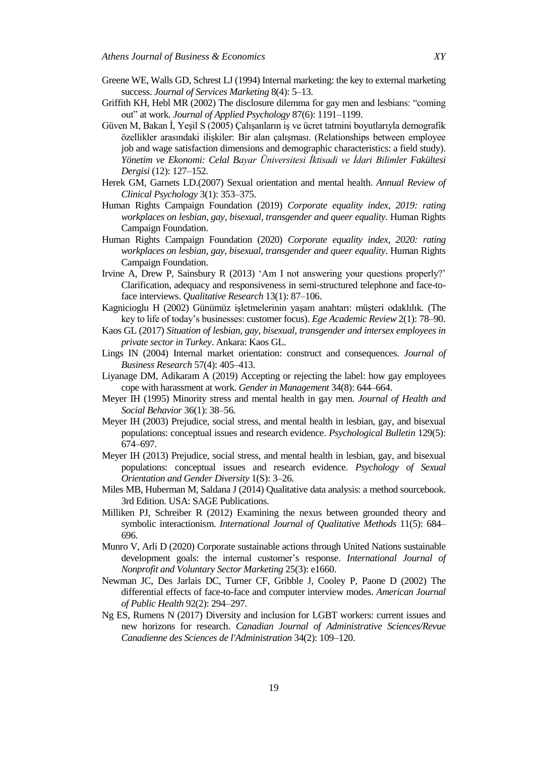- Greene WE, Walls GD, Schrest LJ (1994) Internal marketing: the key to external marketing success. *Journal of Services Marketing* 8(4): 5–13.
- Griffith KH, Hebl MR (2002) The disclosure dilemma for gay men and lesbians: "coming out" at work. *Journal of Applied Psychology* 87(6): 1191–1199.
- Güven M, Bakan İ, Yeşil S (2005) Çalışanların iş ve ücret tatmini boyutlarıyla demografik özellikler arasındaki ilişkiler: Bir alan çalışması. (Relationships between employee job and wage satisfaction dimensions and demographic characteristics: a field study). *Yönetim ve Ekonomi: Celal Bayar Üniversitesi İktisadi ve İdari Bilimler Fakültesi Dergisi* (12): 127–152.
- Herek GM, Garnets LD.(2007) Sexual orientation and mental health. *Annual Review of Clinical Psychology* 3(1): 353–375.
- Human Rights Campaign Foundation (2019) *Corporate equality index, 2019: rating workplaces on lesbian, gay, bisexual, transgender and queer equality*. Human Rights Campaign Foundation.
- Human Rights Campaign Foundation (2020) *Corporate equality index, 2020: rating workplaces on lesbian, gay, bisexual, transgender and queer equality*. Human Rights Campaign Foundation.
- Irvine A, Drew P, Sainsbury R (2013) 'Am I not answering your questions properly?' Clarification, adequacy and responsiveness in semi-structured telephone and face-toface interviews. *Qualitative Research* 13(1): 87–106.
- Kagnicioglu H (2002) Günümüz işletmelerinin yaşam anahtarı: müşteri odaklılık*.* (The key to life of today's businesses: customer focus). *Ege Academic Review* 2(1): 78–90.
- Kaos GL (2017) *Situation of lesbian, gay, bisexual, transgender and intersex employees in private sector in Turkey*. Ankara: Kaos GL.
- Lings IN (2004) Internal market orientation: construct and consequences. *Journal of Business Research* 57(4): 405–413.
- Liyanage DM, Adikaram A (2019) Accepting or rejecting the label: how gay employees cope with harassment at work. *Gender in Management* 34(8): 644–664.
- Meyer IH (1995) Minority stress and mental health in gay men. *Journal of Health and Social Behavior* 36(1): 38–56.
- Meyer IH (2003) Prejudice, social stress, and mental health in lesbian, gay, and bisexual populations: conceptual issues and research evidence. *Psychological Bulletin* 129(5): 674–697.
- Meyer IH (2013) Prejudice, social stress, and mental health in lesbian, gay, and bisexual populations: conceptual issues and research evidence. *Psychology of Sexual Orientation and Gender Diversity* 1(S): 3–26.
- Miles MB, Huberman M, Saldana J (2014) Qualitative data analysis: a method sourcebook. 3rd Edition. USA: SAGE Publications.
- Milliken PJ, Schreiber R (2012) Examining the nexus between grounded theory and symbolic interactionism. *International Journal of Qualitative Methods* 11(5): 684– 696.
- Munro V, Arli D (2020) Corporate sustainable actions through United Nations sustainable development goals: the internal customer's response. *International Journal of Nonprofit and Voluntary Sector Marketing* 25(3): e1660.
- Newman JC, Des Jarlais DC, Turner CF, Gribble J, Cooley P, Paone D (2002) The differential effects of face-to-face and computer interview modes. *American Journal of Public Health* 92(2): 294–297.
- Ng ES, Rumens N (2017) Diversity and inclusion for LGBT workers: current issues and new horizons for research. *Canadian Journal of Administrative Sciences/Revue Canadienne des Sciences de l'Administration* 34(2): 109–120.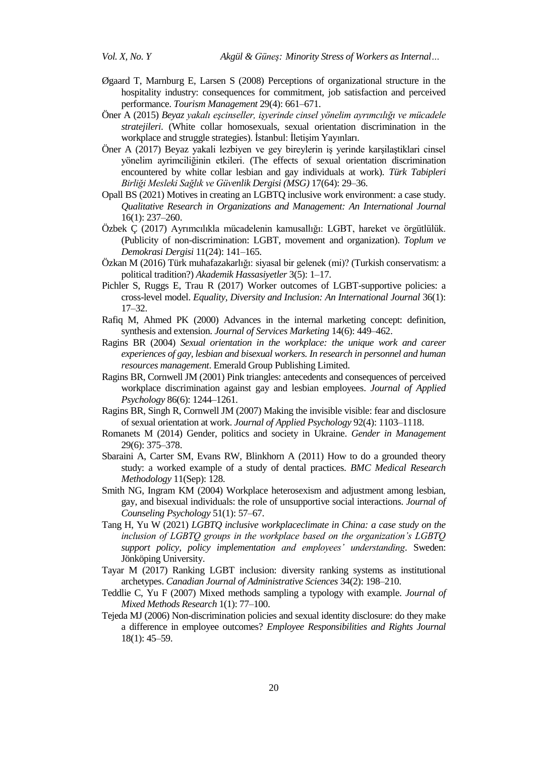- Øgaard T, Marnburg E, Larsen S (2008) Perceptions of organizational structure in the hospitality industry: consequences for commitment, job satisfaction and perceived performance. *Tourism Management* 29(4): 661–671.
- Öner A (2015) *Beyaz yakalı eşcinseller, işyerinde cinsel yönelim ayrımcılığı ve mücadele stratejileri*. (White collar homosexuals, sexual orientation discrimination in the workplace and struggle strategies). İstanbul: İletişim Yayınları.
- Öner A (2017) Beyaz yakali lezbiyen ve gey bireylerin iş yerinde karşilaştiklari cinsel yönelim ayrimciliğinin etkileri. (The effects of sexual orientation discrimination encountered by white collar lesbian and gay individuals at work). *Türk Tabipleri Birliği Mesleki Sağlık ve Güvenlik Dergisi (MSG)* 17(64): 29–36.
- Opall BS (2021) Motives in creating an LGBTQ inclusive work environment: a case study. *Qualitative Research in Organizations and Management: An International Journal* 16(1): 237–260.
- Özbek Ç (2017) Ayrımcılıkla mücadelenin kamusallığı: LGBT, hareket ve örgütlülük. (Publicity of non-discrimination: LGBT, movement and organization). *Toplum ve Demokrasi Dergisi* 11(24): 141–165.
- Özkan M (2016) Türk muhafazakarlığı: siyasal bir gelenek (mi)? (Turkish conservatism: a political tradition?) *Akademik Hassasiyetler* 3(5): 1–17.
- Pichler S, Ruggs E, Trau R (2017) Worker outcomes of LGBT-supportive policies: a cross-level model. *Equality, Diversity and Inclusion: An International Journal* 36(1): 17–32.
- Rafiq M, Ahmed PK (2000) Advances in the internal marketing concept: definition, synthesis and extension. *Journal of Services Marketing* 14(6): 449–462.
- Ragins BR (2004) *Sexual orientation in the workplace: the unique work and career experiences of gay, lesbian and bisexual workers. In research in personnel and human resources management*. Emerald Group Publishing Limited.
- Ragins BR, Cornwell JM (2001) Pink triangles: antecedents and consequences of perceived workplace discrimination against gay and lesbian employees. *Journal of Applied Psychology* 86(6): 1244–1261.
- Ragins BR, Singh R, Cornwell JM (2007) Making the invisible visible: fear and disclosure of sexual orientation at work. *Journal of Applied Psychology* 92(4): 1103–1118.
- Romanets M (2014) Gender, politics and society in Ukraine. *Gender in Management* 29(6): 375–378.
- Sbaraini A, Carter SM, Evans RW, Blinkhorn A (2011) How to do a grounded theory study: a worked example of a study of dental practices. *BMC Medical Research Methodology* 11(Sep): 128.
- Smith NG, Ingram KM (2004) Workplace heterosexism and adjustment among lesbian, gay, and bisexual individuals: the role of unsupportive social interactions. *Journal of Counseling Psychology* 51(1): 57–67.
- Tang H, Yu W (2021) *LGBTQ inclusive workplaceclimate in China: a case study on the inclusion of LGBTQ groups in the workplace based on the organization's LGBTQ support policy, policy implementation and employees' understanding*. Sweden: Jönköping University.
- Tayar M (2017) Ranking LGBT inclusion: diversity ranking systems as institutional archetypes. *Canadian Journal of Administrative Sciences* 34(2): 198–210.
- Teddlie C, Yu F (2007) Mixed methods sampling a typology with example. *Journal of Mixed Methods Research* 1(1): 77–100.
- Tejeda MJ (2006) Non-discrimination policies and sexual identity disclosure: do they make a difference in employee outcomes? *Employee Responsibilities and Rights Journal* 18(1): 45–59.